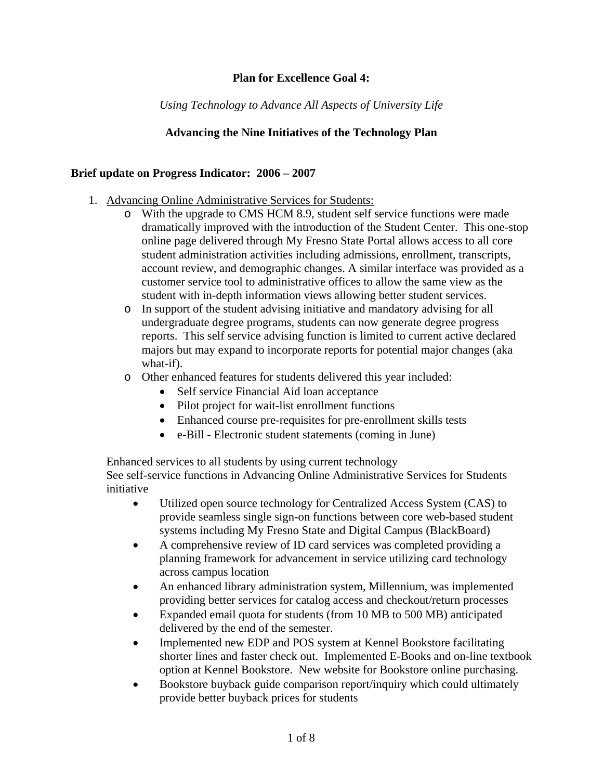## **Plan for Excellence Goal 4:**

*Using Technology to Advance All Aspects of University Life* 

# **Advancing the Nine Initiatives of the Technology Plan**

### **Brief update on Progress Indicator: 2006 – 2007**

- 1. Advancing Online Administrative Services for Students:
	- o With the upgrade to CMS HCM 8.9, student self service functions were made dramatically improved with the introduction of the Student Center. This one-stop online page delivered through My Fresno State Portal allows access to all core student administration activities including admissions, enrollment, transcripts, account review, and demographic changes. A similar interface was provided as a customer service tool to administrative offices to allow the same view as the student with in-depth information views allowing better student services.
	- o In support of the student advising initiative and mandatory advising for all undergraduate degree programs, students can now generate degree progress reports. This self service advising function is limited to current active declared majors but may expand to incorporate reports for potential major changes (aka what-if).
	- o Other enhanced features for students delivered this year included:
		- Self service Financial Aid loan acceptance
		- Pilot project for wait-list enrollment functions
		- Enhanced course pre-requisites for pre-enrollment skills tests
		- e-Bill Electronic student statements (coming in June)

Enhanced services to all students by using current technology

See self-service functions in Advancing Online Administrative Services for Students initiative

- Utilized open source technology for Centralized Access System (CAS) to provide seamless single sign-on functions between core web-based student systems including My Fresno State and Digital Campus (BlackBoard)
- A comprehensive review of ID card services was completed providing a planning framework for advancement in service utilizing card technology across campus location
- An enhanced library administration system, Millennium, was implemented providing better services for catalog access and checkout/return processes
- Expanded email quota for students (from 10 MB to 500 MB) anticipated delivered by the end of the semester.
- Implemented new EDP and POS system at Kennel Bookstore facilitating shorter lines and faster check out. Implemented E-Books and on-line textbook option at Kennel Bookstore. New website for Bookstore online purchasing.
- Bookstore buyback guide comparison report/inquiry which could ultimately provide better buyback prices for students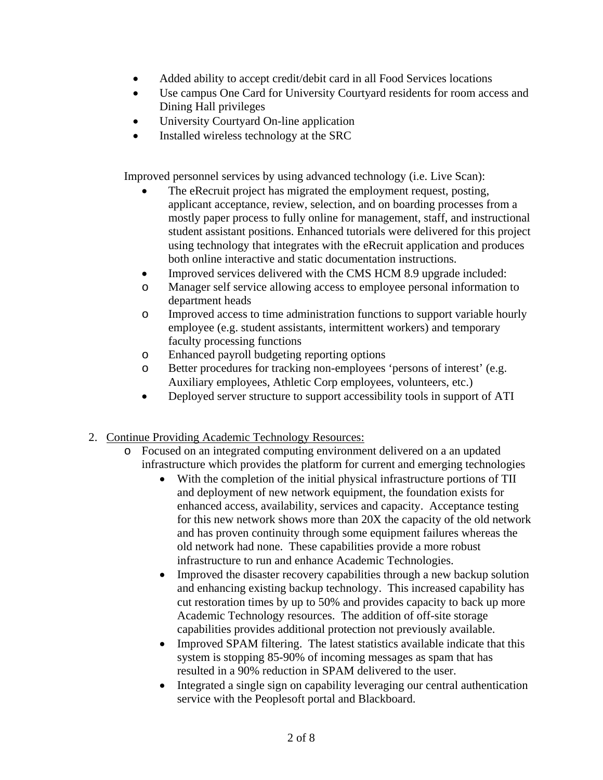- Added ability to accept credit/debit card in all Food Services locations
- Use campus One Card for University Courtyard residents for room access and Dining Hall privileges
- University Courtyard On-line application
- Installed wireless technology at the SRC

Improved personnel services by using advanced technology (i.e. Live Scan):

- The eRecruit project has migrated the employment request, posting, applicant acceptance, review, selection, and on boarding processes from a mostly paper process to fully online for management, staff, and instructional student assistant positions. Enhanced tutorials were delivered for this project using technology that integrates with the eRecruit application and produces both online interactive and static documentation instructions.
- Improved services delivered with the CMS HCM 8.9 upgrade included:
- o Manager self service allowing access to employee personal information to department heads
- o Improved access to time administration functions to support variable hourly employee (e.g. student assistants, intermittent workers) and temporary faculty processing functions
- o Enhanced payroll budgeting reporting options
- o Better procedures for tracking non-employees 'persons of interest' (e.g. Auxiliary employees, Athletic Corp employees, volunteers, etc.)
- Deployed server structure to support accessibility tools in support of ATI
- 2. Continue Providing Academic Technology Resources:
	- o Focused on an integrated computing environment delivered on a an updated infrastructure which provides the platform for current and emerging technologies
		- With the completion of the initial physical infrastructure portions of TII and deployment of new network equipment, the foundation exists for enhanced access, availability, services and capacity. Acceptance testing for this new network shows more than 20X the capacity of the old network and has proven continuity through some equipment failures whereas the old network had none. These capabilities provide a more robust infrastructure to run and enhance Academic Technologies.
		- Improved the disaster recovery capabilities through a new backup solution and enhancing existing backup technology. This increased capability has cut restoration times by up to 50% and provides capacity to back up more Academic Technology resources. The addition of off-site storage capabilities provides additional protection not previously available.
		- Improved SPAM filtering. The latest statistics available indicate that this system is stopping 85-90% of incoming messages as spam that has resulted in a 90% reduction in SPAM delivered to the user.
		- Integrated a single sign on capability leveraging our central authentication service with the Peoplesoft portal and Blackboard.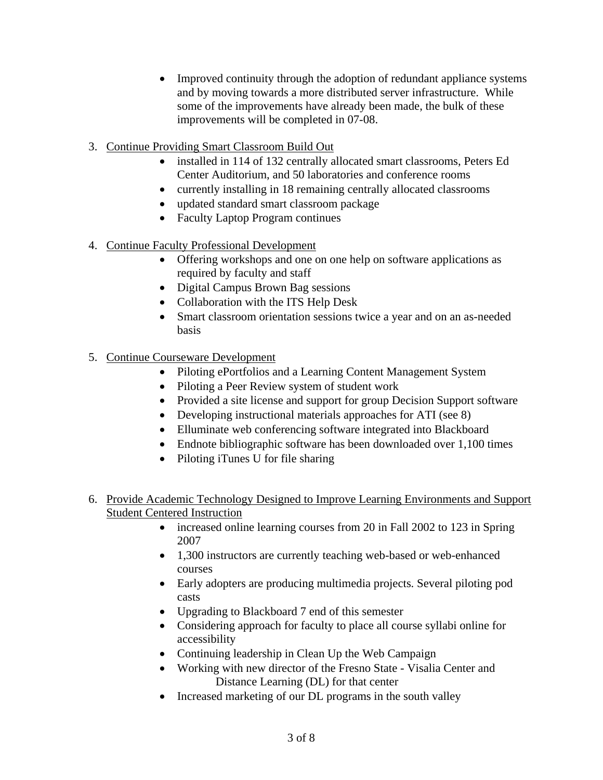- Improved continuity through the adoption of redundant appliance systems and by moving towards a more distributed server infrastructure. While some of the improvements have already been made, the bulk of these improvements will be completed in 07-08.
- 3. Continue Providing Smart Classroom Build Out
	- installed in 114 of 132 centrally allocated smart classrooms, Peters Ed Center Auditorium, and 50 laboratories and conference rooms
	- currently installing in 18 remaining centrally allocated classrooms
	- updated standard smart classroom package
	- Faculty Laptop Program continues
- 4. Continue Faculty Professional Development
	- Offering workshops and one on one help on software applications as required by faculty and staff
	- Digital Campus Brown Bag sessions
	- Collaboration with the ITS Help Desk
	- Smart classroom orientation sessions twice a year and on an as-needed basis
- 5. Continue Courseware Development
	- Piloting ePortfolios and a Learning Content Management System
	- Piloting a Peer Review system of student work
	- Provided a site license and support for group Decision Support software
	- Developing instructional materials approaches for ATI (see 8)
	- Elluminate web conferencing software integrated into Blackboard
	- Endnote bibliographic software has been downloaded over 1,100 times
	- Piloting iTunes U for file sharing
- 6. Provide Academic Technology Designed to Improve Learning Environments and Support Student Centered Instruction
	- increased online learning courses from 20 in Fall 2002 to 123 in Spring 2007
	- 1,300 instructors are currently teaching web-based or web-enhanced courses
	- Early adopters are producing multimedia projects. Several piloting pod casts
	- Upgrading to Blackboard 7 end of this semester
	- Considering approach for faculty to place all course syllabi online for accessibility
	- Continuing leadership in Clean Up the Web Campaign
	- Working with new director of the Fresno State Visalia Center and Distance Learning (DL) for that center
	- Increased marketing of our DL programs in the south valley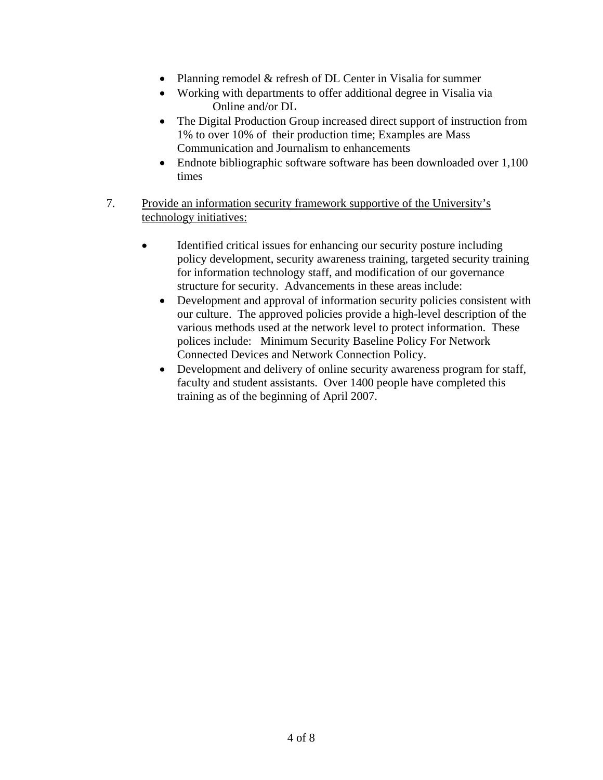- Planning remodel & refresh of DL Center in Visalia for summer
- Working with departments to offer additional degree in Visalia via Online and/or DL
- The Digital Production Group increased direct support of instruction from 1% to over 10% of their production time; Examples are Mass Communication and Journalism to enhancements
- Endnote bibliographic software software has been downloaded over 1,100 times
- 7. Provide an information security framework supportive of the University's technology initiatives:
	- Identified critical issues for enhancing our security posture including policy development, security awareness training, targeted security training for information technology staff, and modification of our governance structure for security. Advancements in these areas include:
		- Development and approval of information security policies consistent with our culture. The approved policies provide a high-level description of the various methods used at the network level to protect information. These polices include: Minimum Security Baseline Policy For Network Connected Devices and Network Connection Policy.
		- Development and delivery of online security awareness program for staff, faculty and student assistants. Over 1400 people have completed this training as of the beginning of April 2007.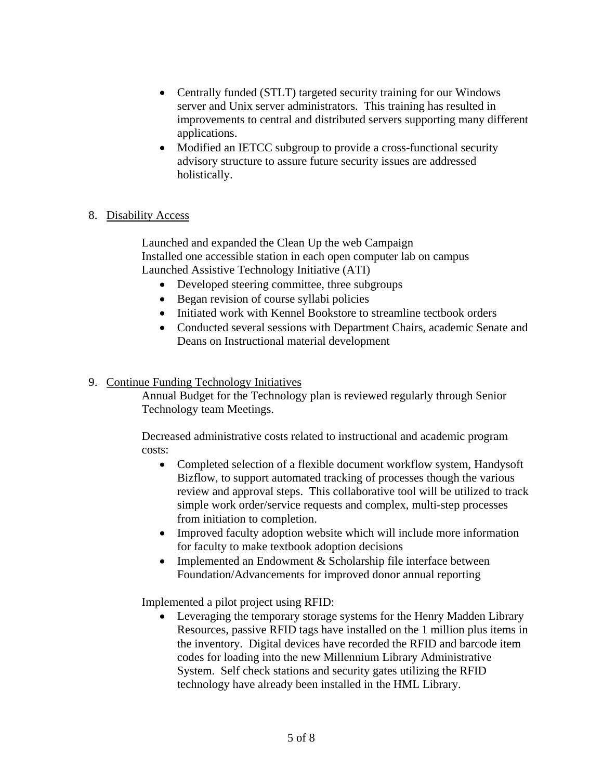- Centrally funded (STLT) targeted security training for our Windows server and Unix server administrators. This training has resulted in improvements to central and distributed servers supporting many different applications.
- Modified an IETCC subgroup to provide a cross-functional security advisory structure to assure future security issues are addressed holistically.

### 8. Disability Access

Launched and expanded the Clean Up the web Campaign Installed one accessible station in each open computer lab on campus Launched Assistive Technology Initiative (ATI)

- Developed steering committee, three subgroups
- Began revision of course syllabi policies
- Initiated work with Kennel Bookstore to streamline tectbook orders
- Conducted several sessions with Department Chairs, academic Senate and Deans on Instructional material development

### 9. Continue Funding Technology Initiatives

Annual Budget for the Technology plan is reviewed regularly through Senior Technology team Meetings.

Decreased administrative costs related to instructional and academic program costs:

- Completed selection of a flexible document workflow system, Handysoft Bizflow, to support automated tracking of processes though the various review and approval steps. This collaborative tool will be utilized to track simple work order/service requests and complex, multi-step processes from initiation to completion.
- Improved faculty adoption website which will include more information for faculty to make textbook adoption decisions
- Implemented an Endowment & Scholarship file interface between Foundation/Advancements for improved donor annual reporting

Implemented a pilot project using RFID:

• Leveraging the temporary storage systems for the Henry Madden Library Resources, passive RFID tags have installed on the 1 million plus items in the inventory. Digital devices have recorded the RFID and barcode item codes for loading into the new Millennium Library Administrative System. Self check stations and security gates utilizing the RFID technology have already been installed in the HML Library.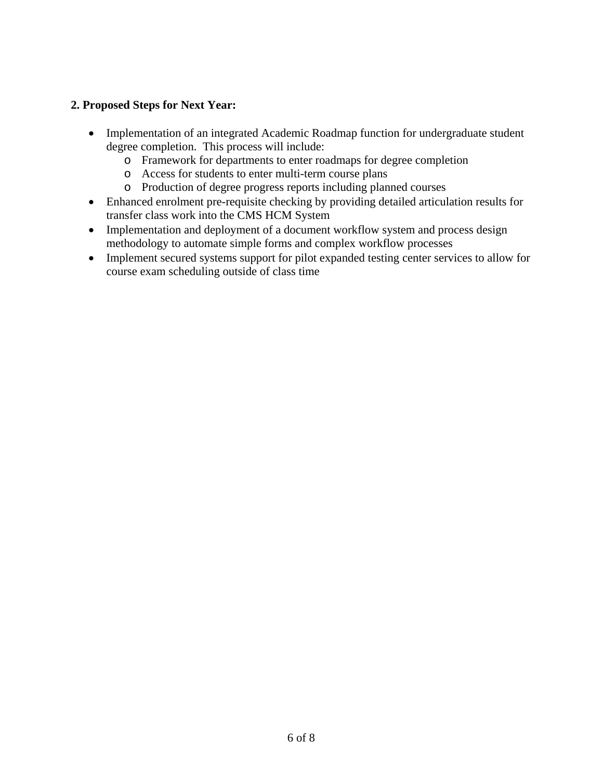## **2. Proposed Steps for Next Year:**

- Implementation of an integrated Academic Roadmap function for undergraduate student degree completion. This process will include:
	- o Framework for departments to enter roadmaps for degree completion
	- o Access for students to enter multi-term course plans
	- o Production of degree progress reports including planned courses
- Enhanced enrolment pre-requisite checking by providing detailed articulation results for transfer class work into the CMS HCM System
- Implementation and deployment of a document workflow system and process design methodology to automate simple forms and complex workflow processes
- Implement secured systems support for pilot expanded testing center services to allow for course exam scheduling outside of class time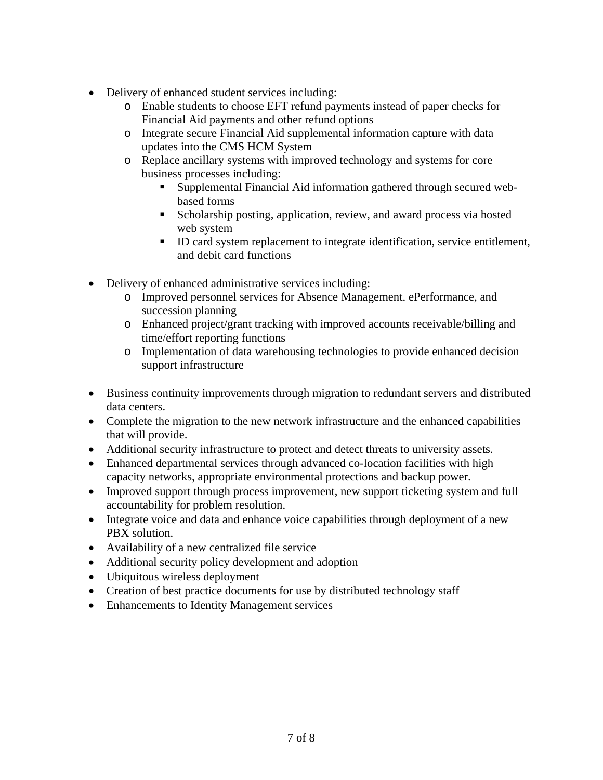- Delivery of enhanced student services including:
	- o Enable students to choose EFT refund payments instead of paper checks for Financial Aid payments and other refund options
	- o Integrate secure Financial Aid supplemental information capture with data updates into the CMS HCM System
	- o Replace ancillary systems with improved technology and systems for core business processes including:
		- Supplemental Financial Aid information gathered through secured webbased forms
		- Scholarship posting, application, review, and award process via hosted web system
		- ID card system replacement to integrate identification, service entitlement, and debit card functions
- Delivery of enhanced administrative services including:
	- o Improved personnel services for Absence Management. ePerformance, and succession planning
	- o Enhanced project/grant tracking with improved accounts receivable/billing and time/effort reporting functions
	- o Implementation of data warehousing technologies to provide enhanced decision support infrastructure
- Business continuity improvements through migration to redundant servers and distributed data centers.
- Complete the migration to the new network infrastructure and the enhanced capabilities that will provide.
- Additional security infrastructure to protect and detect threats to university assets.
- Enhanced departmental services through advanced co-location facilities with high capacity networks, appropriate environmental protections and backup power.
- Improved support through process improvement, new support ticketing system and full accountability for problem resolution.
- Integrate voice and data and enhance voice capabilities through deployment of a new PBX solution.
- Availability of a new centralized file service
- Additional security policy development and adoption
- Ubiquitous wireless deployment
- Creation of best practice documents for use by distributed technology staff
- Enhancements to Identity Management services